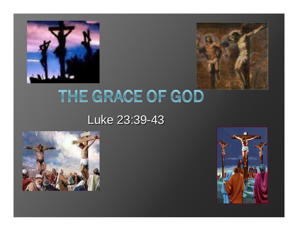



# THE GRACE OF GOD

#### Luke 23:39-43



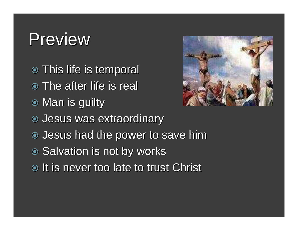#### Preview

- **This life is temporal • The after life is real ◉ Man is guilty**  Jesus was extraordinary Jesus had the power to save him● Salvation is not by works
- $\bullet$  It is never too late to trust Christ

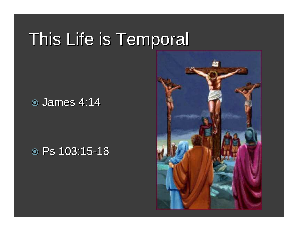# This Life is Temporal

#### **⊙ James 4:14**

# Ps 103:15 -16

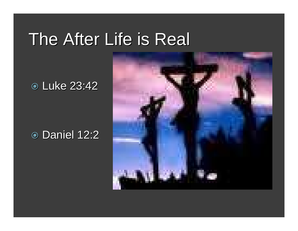#### The After Life is Real

Luke 23:42

# **⊙ Daniel 12:2**

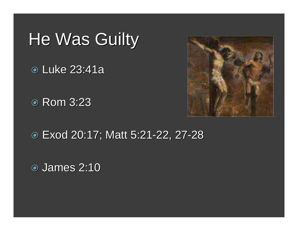# He Was Guilty

Luke 23:41a

Rom 3:23



Exod 20:17; Matt 5:21 -22, 27-28

James 2:10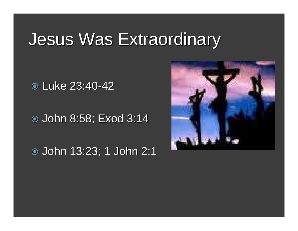# Jesus Was Extraordinary

Luke 23:40 -42

John 8:58; Exod 3:14

John 13:23; 1 John 2:1

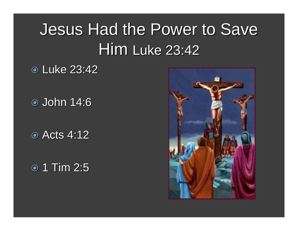# Jesus Had the Power to Save Him Luke 23:42

Luke 23:42

John 14:6

Acts 4:12

 $\odot$  1 Tim 2:5

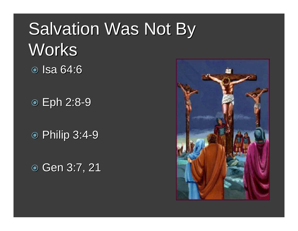# Salvation Was Not By **Works ⊚** Isa 64:6

 Eph 2:8 -9

 Philip 3:4 -9

**⊙ Gen 3:7, 21** 

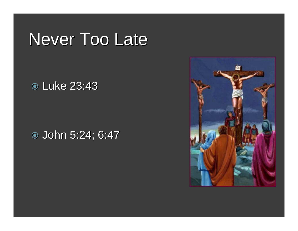### Never Too Late

Luke 23:43

John 5:24; 6:47

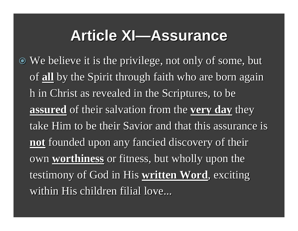#### **Article XI—Assurance**

 We believe it is the privilege, not only of some, but of **all** by the Spirit through faith who are born again h in Christ as revealed in the Scriptures, to be **assured** of their salvation from the **very day** they take Him to be their Savior and that this assurance is **not** founded upon any fancied discovery of their own **worthiness** or fitness, but wholly upon the testimony of God in His **written Word**, exciting within His children filial love...